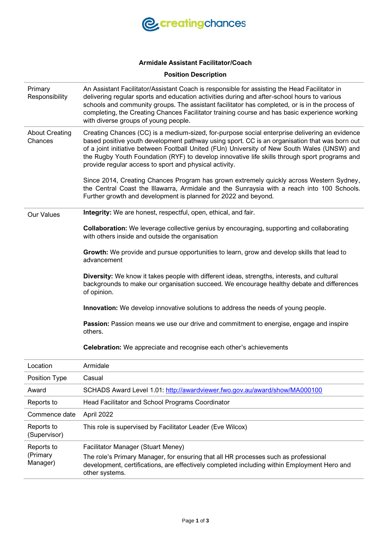

# **Armidale Assistant Facilitator/Coach**

## **Position Description**

| Primary<br>Responsibility        | An Assistant Facilitator/Assistant Coach is responsible for assisting the Head Facilitator in<br>delivering regular sports and education activities during and after-school hours to various<br>schools and community groups. The assistant facilitator has completed, or is in the process of<br>completing, the Creating Chances Facilitator training course and has basic experience working<br>with diverse groups of young people.                   |
|----------------------------------|-----------------------------------------------------------------------------------------------------------------------------------------------------------------------------------------------------------------------------------------------------------------------------------------------------------------------------------------------------------------------------------------------------------------------------------------------------------|
| <b>About Creating</b><br>Chances | Creating Chances (CC) is a medium-sized, for-purpose social enterprise delivering an evidence<br>based positive youth development pathway using sport. CC is an organisation that was born out<br>of a joint initiative between Football United (FUn) University of New South Wales (UNSW) and<br>the Rugby Youth Foundation (RYF) to develop innovative life skills through sport programs and<br>provide regular access to sport and physical activity. |
|                                  | Since 2014, Creating Chances Program has grown extremely quickly across Western Sydney,<br>the Central Coast the Illawarra, Armidale and the Sunraysia with a reach into 100 Schools.<br>Further growth and development is planned for 2022 and beyond.                                                                                                                                                                                                   |
| <b>Our Values</b>                | Integrity: We are honest, respectful, open, ethical, and fair.                                                                                                                                                                                                                                                                                                                                                                                            |
|                                  | <b>Collaboration:</b> We leverage collective genius by encouraging, supporting and collaborating<br>with others inside and outside the organisation                                                                                                                                                                                                                                                                                                       |
|                                  | Growth: We provide and pursue opportunities to learn, grow and develop skills that lead to<br>advancement                                                                                                                                                                                                                                                                                                                                                 |
|                                  | Diversity: We know it takes people with different ideas, strengths, interests, and cultural<br>backgrounds to make our organisation succeed. We encourage healthy debate and differences<br>of opinion.                                                                                                                                                                                                                                                   |
|                                  | Innovation: We develop innovative solutions to address the needs of young people.                                                                                                                                                                                                                                                                                                                                                                         |
|                                  | Passion: Passion means we use our drive and commitment to energise, engage and inspire<br>others.                                                                                                                                                                                                                                                                                                                                                         |
|                                  | <b>Celebration:</b> We appreciate and recognise each other's achievements                                                                                                                                                                                                                                                                                                                                                                                 |
| Location                         | Armidale                                                                                                                                                                                                                                                                                                                                                                                                                                                  |
| Position Type                    | Casual                                                                                                                                                                                                                                                                                                                                                                                                                                                    |
| Award                            | SCHADS Award Level 1.01: http://awardviewer.fwo.gov.au/award/show/MA000100                                                                                                                                                                                                                                                                                                                                                                                |
| Reports to                       | Head Facilitator and School Programs Coordinator                                                                                                                                                                                                                                                                                                                                                                                                          |
| Commence date                    | April 2022                                                                                                                                                                                                                                                                                                                                                                                                                                                |
| Reports to<br>(Supervisor)       | This role is supervised by Facilitator Leader (Eve Wilcox)                                                                                                                                                                                                                                                                                                                                                                                                |
| Reports to                       | Facilitator Manager (Stuart Meney)                                                                                                                                                                                                                                                                                                                                                                                                                        |
| (Primary<br>Manager)             | The role's Primary Manager, for ensuring that all HR processes such as professional<br>development, certifications, are effectively completed including within Employment Hero and<br>other systems.                                                                                                                                                                                                                                                      |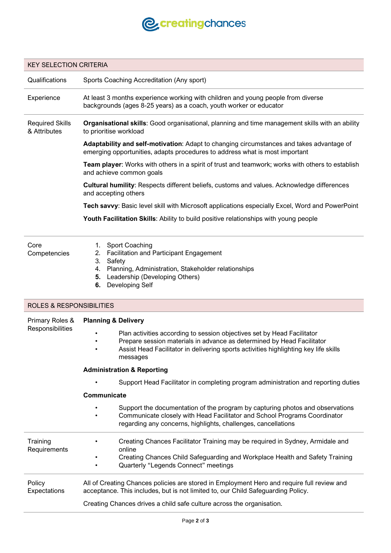

#### KEY SELECTION CRITERIA

Qualifications Sports Coaching Accreditation (Any sport)

Experience At least 3 months experience working with children and young people from diverse backgrounds (ages 8-25 years) as a coach, youth worker or educator

Required Skills & Attributes **Organisational skills**: Good organisational, planning and time management skills with an ability to prioritise workload

> **Adaptability and self-motivation**: Adapt to changing circumstances and takes advantage of emerging opportunities, adapts procedures to address what is most important

**Team player**: Works with others in a spirit of trust and teamwork; works with others to establish and achieve common goals

**Cultural humility**: Respects different beliefs, customs and values. Acknowledge differences and accepting others

**Tech savvy**: Basic level skill with Microsoft applications especially Excel, Word and PowerPoint

**Youth Facilitation Skills**: Ability to build positive relationships with young people

#### Core **Competencies**

- 1. Sport Coaching
- 2. Facilitation and Participant Engagement
- 3. Safety
- 4. Planning, Administration, Stakeholder relationships
- **5.** Leadership (Developing Others)
- **6.** Developing Self

### ROLES & RESPONSIBILITIES

| Primary Roles &<br>Responsibilities | <b>Planning &amp; Delivery</b>                                                                                                                                                                                                                                  |
|-------------------------------------|-----------------------------------------------------------------------------------------------------------------------------------------------------------------------------------------------------------------------------------------------------------------|
|                                     | Plan activities according to session objectives set by Head Facilitator<br>٠<br>Prepare session materials in advance as determined by Head Facilitator<br>٠<br>Assist Head Facilitator in delivering sports activities highlighting key life skills<br>messages |
|                                     | <b>Administration &amp; Reporting</b>                                                                                                                                                                                                                           |
|                                     | Support Head Facilitator in completing program administration and reporting duties                                                                                                                                                                              |
|                                     | Communicate                                                                                                                                                                                                                                                     |
|                                     | Support the documentation of the program by capturing photos and observations<br>Communicate closely with Head Facilitator and School Programs Coordinator<br>$\bullet$<br>regarding any concerns, highlights, challenges, cancellations                        |
| Training<br>Requirements            | Creating Chances Facilitator Training may be required in Sydney, Armidale and<br>online                                                                                                                                                                         |
|                                     | Creating Chances Child Safeguarding and Workplace Health and Safety Training<br>Quarterly "Legends Connect" meetings                                                                                                                                            |
| Policy<br>Expectations              | All of Creating Chances policies are stored in Employment Hero and require full review and<br>acceptance. This includes, but is not limited to, our Child Safeguarding Policy.                                                                                  |
|                                     | Creating Chances drives a child safe culture across the organisation.                                                                                                                                                                                           |